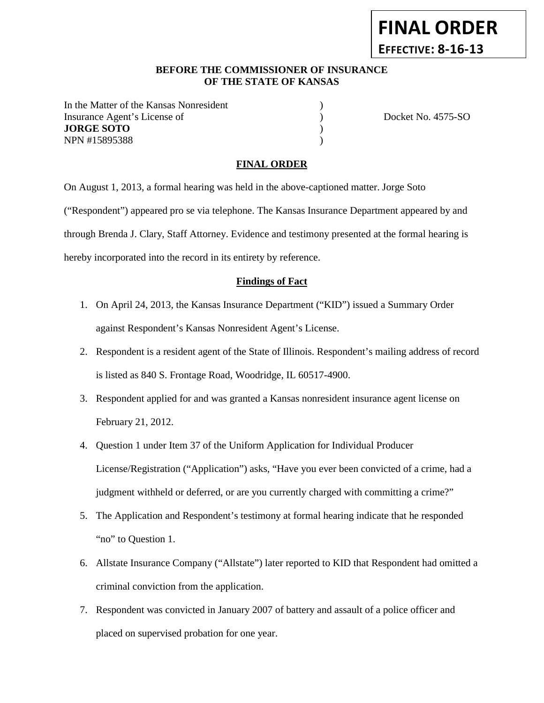# **BEFORE THE COMMISSIONER OF INSURANCE OF THE STATE OF KANSAS**

In the Matter of the Kansas Nonresident Insurance Agent's License of  $Docket No. 4575-SO$ **JORGE SOTO** ) NPN #15895388 )

**FINAL ORDER**

**EFFECTIVE: 8-16-13**

#### **FINAL ORDER**

On August 1, 2013, a formal hearing was held in the above-captioned matter. Jorge Soto ("Respondent") appeared pro se via telephone. The Kansas Insurance Department appeared by and through Brenda J. Clary, Staff Attorney. Evidence and testimony presented at the formal hearing is hereby incorporated into the record in its entirety by reference.

#### **Findings of Fact**

- 1. On April 24, 2013, the Kansas Insurance Department ("KID") issued a Summary Order against Respondent's Kansas Nonresident Agent's License.
- 2. Respondent is a resident agent of the State of Illinois. Respondent's mailing address of record is listed as 840 S. Frontage Road, Woodridge, IL 60517-4900.
- 3. Respondent applied for and was granted a Kansas nonresident insurance agent license on February 21, 2012.
- 4. Question 1 under Item 37 of the Uniform Application for Individual Producer License/Registration ("Application") asks, "Have you ever been convicted of a crime, had a judgment withheld or deferred, or are you currently charged with committing a crime?"
- 5. The Application and Respondent's testimony at formal hearing indicate that he responded "no" to Question 1.
- 6. Allstate Insurance Company ("Allstate") later reported to KID that Respondent had omitted a criminal conviction from the application.
- 7. Respondent was convicted in January 2007 of battery and assault of a police officer and placed on supervised probation for one year.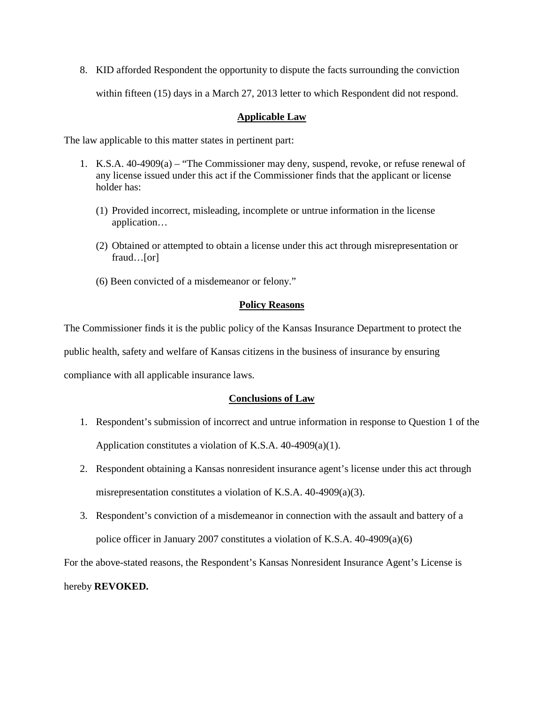8. KID afforded Respondent the opportunity to dispute the facts surrounding the conviction within fifteen (15) days in a March 27, 2013 letter to which Respondent did not respond.

### **Applicable Law**

The law applicable to this matter states in pertinent part:

- 1. K.S.A. 40-4909(a) "The Commissioner may deny, suspend, revoke, or refuse renewal of any license issued under this act if the Commissioner finds that the applicant or license holder has:
	- (1) Provided incorrect, misleading, incomplete or untrue information in the license application…
	- (2) Obtained or attempted to obtain a license under this act through misrepresentation or fraud…[or]
	- (6) Been convicted of a misdemeanor or felony."

# **Policy Reasons**

The Commissioner finds it is the public policy of the Kansas Insurance Department to protect the public health, safety and welfare of Kansas citizens in the business of insurance by ensuring compliance with all applicable insurance laws.

# **Conclusions of Law**

- 1. Respondent's submission of incorrect and untrue information in response to Question 1 of the Application constitutes a violation of K.S.A. 40-4909(a)(1).
- 2. Respondent obtaining a Kansas nonresident insurance agent's license under this act through misrepresentation constitutes a violation of K.S.A. 40-4909(a)(3).
- 3. Respondent's conviction of a misdemeanor in connection with the assault and battery of a police officer in January 2007 constitutes a violation of K.S.A. 40-4909(a)(6)

For the above-stated reasons, the Respondent's Kansas Nonresident Insurance Agent's License is

hereby **REVOKED.**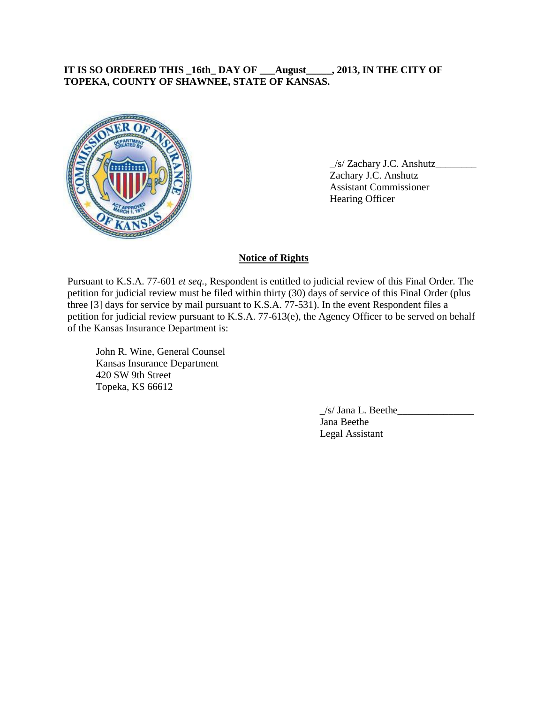# **IT IS SO ORDERED THIS \_16th\_ DAY OF \_\_\_August\_\_\_\_\_, 2013, IN THE CITY OF TOPEKA, COUNTY OF SHAWNEE, STATE OF KANSAS.**



\_/s/ Zachary J.C. Anshutz\_\_\_\_\_\_\_\_ Zachary J.C. Anshutz Assistant Commissioner Hearing Officer

### **Notice of Rights**

Pursuant to K.S.A. 77-601 *et seq.*, Respondent is entitled to judicial review of this Final Order. The petition for judicial review must be filed within thirty (30) days of service of this Final Order (plus three [3] days for service by mail pursuant to K.S.A. 77-531). In the event Respondent files a petition for judicial review pursuant to K.S.A. 77-613(e), the Agency Officer to be served on behalf of the Kansas Insurance Department is:

John R. Wine, General Counsel Kansas Insurance Department 420 SW 9th Street Topeka, KS 66612

> $/s/$  Jana L. Beethe Jana Beethe Legal Assistant